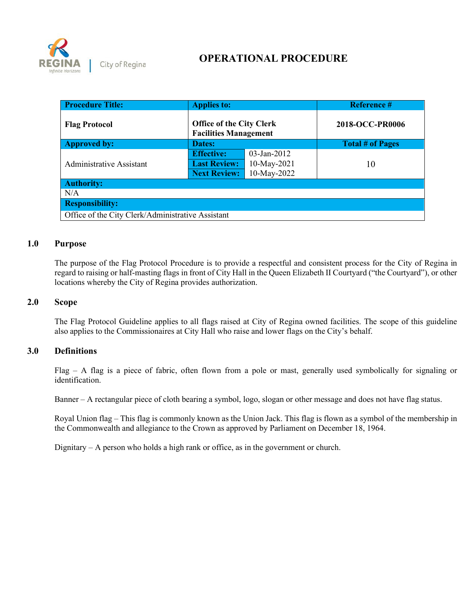

# **OPERATIONAL PROCEDURE**

| <b>Procedure Title:</b>                           | <b>Applies to:</b>                                              |                | <b>Reference #</b>      |  |
|---------------------------------------------------|-----------------------------------------------------------------|----------------|-------------------------|--|
| <b>Flag Protocol</b>                              | <b>Office of the City Clerk</b><br><b>Facilities Management</b> |                | 2018-OCC-PR0006         |  |
| <b>Approved by:</b>                               | Dates:                                                          |                | <b>Total # of Pages</b> |  |
|                                                   | <b>Effective:</b>                                               | $03$ -Jan-2012 |                         |  |
| <b>Administrative Assistant</b>                   | <b>Last Review:</b>                                             | 10-May-2021    | 10                      |  |
|                                                   | <b>Next Review:</b>                                             | 10-May-2022    |                         |  |
| <b>Authority:</b>                                 |                                                                 |                |                         |  |
| N/A                                               |                                                                 |                |                         |  |
| <b>Responsibility:</b>                            |                                                                 |                |                         |  |
| Office of the City Clerk/Administrative Assistant |                                                                 |                |                         |  |

#### **1.0 Purpose**

The purpose of the Flag Protocol Procedure is to provide a respectful and consistent process for the City of Regina in regard to raising or half-masting flags in front of City Hall in the Queen Elizabeth II Courtyard ("the Courtyard"), or other locations whereby the City of Regina provides authorization.

#### **2.0 Scope**

The Flag Protocol Guideline applies to all flags raised at City of Regina owned facilities. The scope of this guideline also applies to the Commissionaires at City Hall who raise and lower flags on the City's behalf.

#### **3.0 Definitions**

Flag – A flag is a piece of fabric, often flown from a pole or mast, generally used symbolically for signaling or identification.

Banner – A rectangular piece of cloth bearing a symbol, logo, slogan or other message and does not have flag status.

Royal Union flag – This flag is commonly known as the Union Jack. This flag is flown as a symbol of the membership in the Commonwealth and allegiance to the Crown as approved by Parliament on December 18, 1964.

Dignitary – A person who holds a high rank or office, as in the government or church.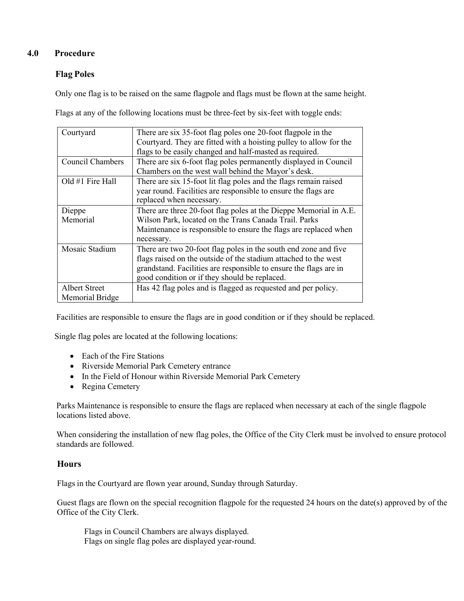## **4.0 Procedure**

# **Flag Poles**

Only one flag is to be raised on the same flagpole and flags must be flown at the same height.

Flags at any of the following locations must be three-feet by six-feet with toggle ends:

| Courtyard               | There are six 35-foot flag poles one 20-foot flagpole in the<br>Courtyard. They are fitted with a hoisting pulley to allow for the |
|-------------------------|------------------------------------------------------------------------------------------------------------------------------------|
|                         |                                                                                                                                    |
|                         | flags to be easily changed and half-masted as required.                                                                            |
| <b>Council Chambers</b> | There are six 6-foot flag poles permanently displayed in Council                                                                   |
|                         | Chambers on the west wall behind the Mayor's desk.                                                                                 |
| Old #1 Fire Hall        | There are six 15-foot lit flag poles and the flags remain raised                                                                   |
|                         | year round. Facilities are responsible to ensure the flags are                                                                     |
|                         | replaced when necessary.                                                                                                           |
| Dieppe                  | There are three 20-foot flag poles at the Dieppe Memorial in A.E.                                                                  |
| Memorial                | Wilson Park, located on the Trans Canada Trail. Parks                                                                              |
|                         | Maintenance is responsible to ensure the flags are replaced when                                                                   |
|                         | necessary.                                                                                                                         |
| Mosaic Stadium          | There are two 20-foot flag poles in the south end zone and five                                                                    |
|                         | flags raised on the outside of the stadium attached to the west                                                                    |
|                         | grandstand. Facilities are responsible to ensure the flags are in                                                                  |
|                         | good condition or if they should be replaced.                                                                                      |
| <b>Albert Street</b>    | Has 42 flag poles and is flagged as requested and per policy.                                                                      |
| Memorial Bridge         |                                                                                                                                    |

Facilities are responsible to ensure the flags are in good condition or if they should be replaced.

Single flag poles are located at the following locations:

- Each of the Fire Stations
- Riverside Memorial Park Cemetery entrance
- In the Field of Honour within Riverside Memorial Park Cemetery
- Regina Cemetery

Parks Maintenance is responsible to ensure the flags are replaced when necessary at each of the single flagpole locations listed above.

When considering the installation of new flag poles, the Office of the City Clerk must be involved to ensure protocol standards are followed.

#### **Hours**

Flags in the Courtyard are flown year around, Sunday through Saturday.

Guest flags are flown on the special recognition flagpole for the requested 24 hours on the date(s) approved by of the Office of the City Clerk.

Flags in Council Chambers are always displayed. Flags on single flag poles are displayed year-round.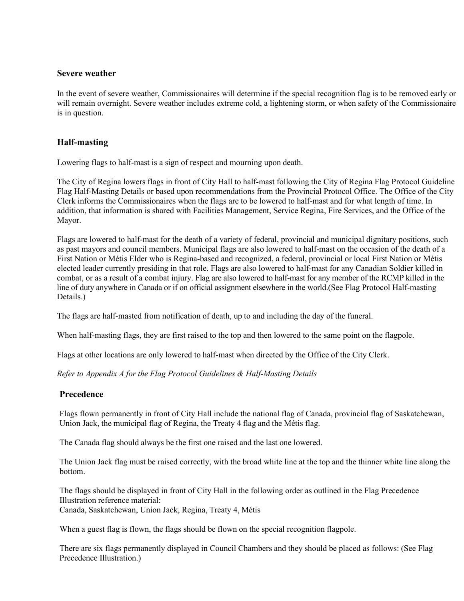#### **Severe weather**

In the event of severe weather, Commissionaires will determine if the special recognition flag is to be removed early or will remain overnight. Severe weather includes extreme cold, a lightening storm, or when safety of the Commissionaire is in question.

#### **Half-masting**

Lowering flags to half-mast is a sign of respect and mourning upon death.

The City of Regina lowers flags in front of City Hall to half-mast following the City of Regina Flag Protocol Guideline Flag Half-Masting Details or based upon recommendations from the Provincial Protocol Office. The Office of the City Clerk informs the Commissionaires when the flags are to be lowered to half-mast and for what length of time. In addition, that information is shared with Facilities Management, Service Regina, Fire Services, and the Office of the Mayor.

Flags are lowered to half-mast for the death of a variety of federal, provincial and municipal dignitary positions, such as past mayors and council members. Municipal flags are also lowered to half-mast on the occasion of the death of a First Nation or Métis Elder who is Regina-based and recognized, a federal, provincial or local First Nation or Métis elected leader currently presiding in that role. Flags are also lowered to half-mast for any Canadian Soldier killed in combat, or as a result of a combat injury. Flag are also lowered to half-mast for any member of the RCMP killed in the line of duty anywhere in Canada or if on official assignment elsewhere in the world.(See Flag Protocol Half-masting Details.)

The flags are half-masted from notification of death, up to and including the day of the funeral.

When half-masting flags, they are first raised to the top and then lowered to the same point on the flagpole.

Flags at other locations are only lowered to half-mast when directed by the Office of the City Clerk.

*Refer to Appendix A for the Flag Protocol Guidelines & Half-Masting Details*

#### **Precedence**

Flags flown permanently in front of City Hall include the national flag of Canada, provincial flag of Saskatchewan, Union Jack, the municipal flag of Regina, the Treaty 4 flag and the Métis flag.

The Canada flag should always be the first one raised and the last one lowered.

The Union Jack flag must be raised correctly, with the broad white line at the top and the thinner white line along the bottom.

The flags should be displayed in front of City Hall in the following order as outlined in the Flag Precedence Illustration reference material: Canada, Saskatchewan, Union Jack, Regina, Treaty 4, Métis

When a guest flag is flown, the flags should be flown on the special recognition flagpole.

There are six flags permanently displayed in Council Chambers and they should be placed as follows: (See Flag Precedence Illustration.)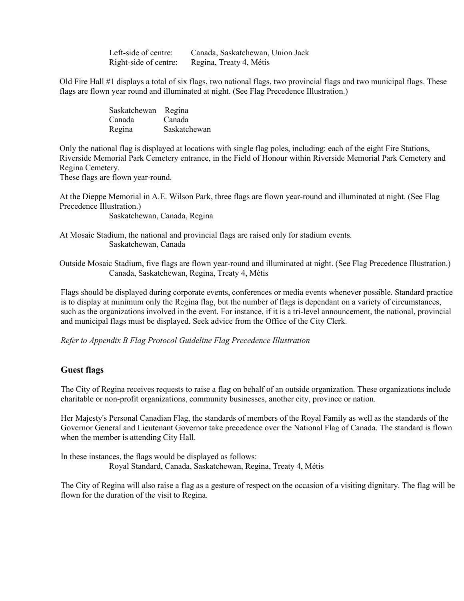| Left-side of centre:  | Canada, Saskatchewan, Union Jack |
|-----------------------|----------------------------------|
| Right-side of centre: | Regina, Treaty 4, Métis          |

Old Fire Hall #1 displays a total of six flags, two national flags, two provincial flags and two municipal flags. These flags are flown year round and illuminated at night. (See Flag Precedence Illustration.)

| Saskatchewan Regina |              |
|---------------------|--------------|
| Canada              | Canada       |
| Regina              | Saskatchewan |

Only the national flag is displayed at locations with single flag poles, including: each of the eight Fire Stations, Riverside Memorial Park Cemetery entrance, in the Field of Honour within Riverside Memorial Park Cemetery and Regina Cemetery.

These flags are flown year-round.

At the Dieppe Memorial in A.E. Wilson Park, three flags are flown year-round and illuminated at night. (See Flag Precedence Illustration.)

Saskatchewan, Canada, Regina

At Mosaic Stadium, the national and provincial flags are raised only for stadium events. Saskatchewan, Canada

Outside Mosaic Stadium, five flags are flown year-round and illuminated at night. (See Flag Precedence Illustration.) Canada, Saskatchewan, Regina, Treaty 4, Métis

Flags should be displayed during corporate events, conferences or media events whenever possible. Standard practice is to display at minimum only the Regina flag, but the number of flags is dependant on a variety of circumstances, such as the organizations involved in the event. For instance, if it is a tri-level announcement, the national, provincial and municipal flags must be displayed. Seek advice from the Office of the City Clerk.

*Refer to Appendix B Flag Protocol Guideline Flag Precedence Illustration*

#### **Guest flags**

The City of Regina receives requests to raise a flag on behalf of an outside organization. These organizations include charitable or non-profit organizations, community businesses, another city, province or nation.

Her Majesty's Personal Canadian Flag, the standards of members of the Royal Family as well as the standards of the Governor General and Lieutenant Governor take precedence over the National Flag of Canada. The standard is flown when the member is attending City Hall.

In these instances, the flags would be displayed as follows: Royal Standard, Canada, Saskatchewan, Regina, Treaty 4, Métis

The City of Regina will also raise a flag as a gesture of respect on the occasion of a visiting dignitary. The flag will be flown for the duration of the visit to Regina.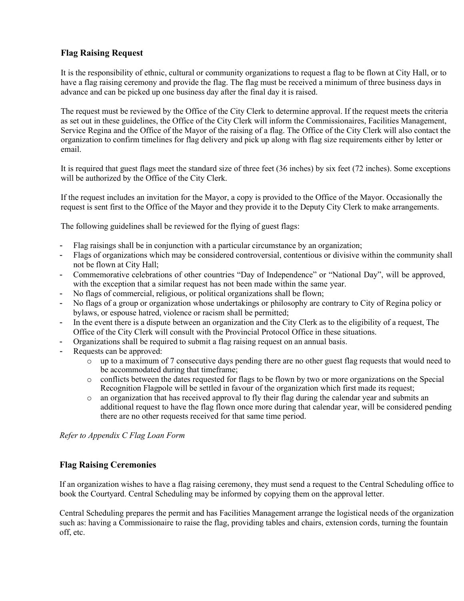## **Flag Raising Request**

It is the responsibility of ethnic, cultural or community organizations to request a flag to be flown at City Hall, or to have a flag raising ceremony and provide the flag. The flag must be received a minimum of three business days in advance and can be picked up one business day after the final day it is raised.

The request must be reviewed by the Office of the City Clerk to determine approval. If the request meets the criteria as set out in these guidelines, the Office of the City Clerk will inform the Commissionaires, Facilities Management, Service Regina and the Office of the Mayor of the raising of a flag. The Office of the City Clerk will also contact the organization to confirm timelines for flag delivery and pick up along with flag size requirements either by letter or email.

It is required that guest flags meet the standard size of three feet (36 inches) by six feet (72 inches). Some exceptions will be authorized by the Office of the City Clerk.

If the request includes an invitation for the Mayor, a copy is provided to the Office of the Mayor. Occasionally the request is sent first to the Office of the Mayor and they provide it to the Deputy City Clerk to make arrangements.

The following guidelines shall be reviewed for the flying of guest flags:

- Flag raisings shall be in conjunction with a particular circumstance by an organization;
- Flags of organizations which may be considered controversial, contentious or divisive within the community shall not be flown at City Hall;
- Commemorative celebrations of other countries "Day of Independence" or "National Day", will be approved, with the exception that a similar request has not been made within the same year.
- No flags of commercial, religious, or political organizations shall be flown;
- No flags of a group or organization whose undertakings or philosophy are contrary to City of Regina policy or bylaws, or espouse hatred, violence or racism shall be permitted;
- In the event there is a dispute between an organization and the City Clerk as to the eligibility of a request, The Office of the City Clerk will consult with the Provincial Protocol Office in these situations.
- Organizations shall be required to submit a flag raising request on an annual basis.
- Requests can be approved:
	- o up to a maximum of 7 consecutive days pending there are no other guest flag requests that would need to be accommodated during that timeframe;
	- o conflicts between the dates requested for flags to be flown by two or more organizations on the Special Recognition Flagpole will be settled in favour of the organization which first made its request;
	- $\circ$  an organization that has received approval to fly their flag during the calendar year and submits an additional request to have the flag flown once more during that calendar year, will be considered pending there are no other requests received for that same time period.

*Refer to Appendix C Flag Loan Form*

#### **Flag Raising Ceremonies**

If an organization wishes to have a flag raising ceremony, they must send a request to the Central Scheduling office to book the Courtyard. Central Scheduling may be informed by copying them on the approval letter.

Central Scheduling prepares the permit and has Facilities Management arrange the logistical needs of the organization such as: having a Commissionaire to raise the flag, providing tables and chairs, extension cords, turning the fountain off, etc.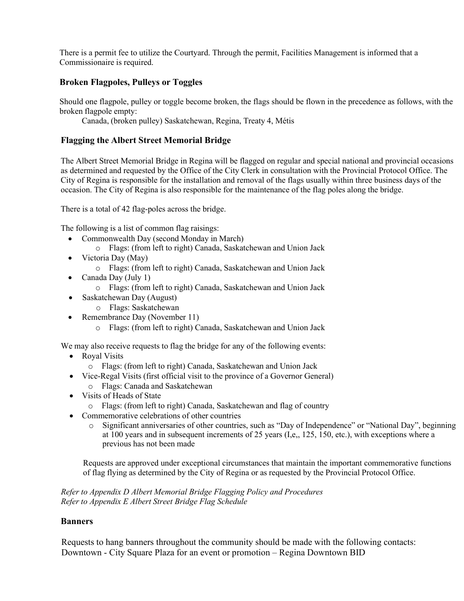There is a permit fee to utilize the Courtyard. Through the permit, Facilities Management is informed that a Commissionaire is required.

### **Broken Flagpoles, Pulleys or Toggles**

Should one flagpole, pulley or toggle become broken, the flags should be flown in the precedence as follows, with the broken flagpole empty:

Canada, (broken pulley) Saskatchewan, Regina, Treaty 4, Métis

### **Flagging the Albert Street Memorial Bridge**

The Albert Street Memorial Bridge in Regina will be flagged on regular and special national and provincial occasions as determined and requested by the Office of the City Clerk in consultation with the Provincial Protocol Office. The City of Regina is responsible for the installation and removal of the flags usually within three business days of the occasion. The City of Regina is also responsible for the maintenance of the flag poles along the bridge.

There is a total of 42 flag-poles across the bridge.

The following is a list of common flag raisings:

- Commonwealth Day (second Monday in March)
	- o Flags: (from left to right) Canada, Saskatchewan and Union Jack
- Victoria Day (May)
	- o Flags: (from left to right) Canada, Saskatchewan and Union Jack
- Canada Day (July 1)
	- o Flags: (from left to right) Canada, Saskatchewan and Union Jack
- Saskatchewan Day (August)
	- o Flags: Saskatchewan
- Remembrance Day (November 11)
	- o Flags: (from left to right) Canada, Saskatchewan and Union Jack

We may also receive requests to flag the bridge for any of the following events:

- Royal Visits
	- o Flags: (from left to right) Canada, Saskatchewan and Union Jack
- Vice-Regal Visits (first official visit to the province of a Governor General) o Flags: Canada and Saskatchewan
- Visits of Heads of State
	- o Flags: (from left to right) Canada, Saskatchewan and flag of country
- Commemorative celebrations of other countries
	- o Significant anniversaries of other countries, such as "Day of Independence" or "National Day", beginning at 100 years and in subsequent increments of 25 years (I,e,, 125, 150, etc.), with exceptions where a previous has not been made

Requests are approved under exceptional circumstances that maintain the important commemorative functions of flag flying as determined by the City of Regina or as requested by the Provincial Protocol Office.

*Refer to Appendix D Albert Memorial Bridge Flagging Policy and Procedures Refer to Appendix E Albert Street Bridge Flag Schedule*

#### **Banners**

Requests to hang banners throughout the community should be made with the following contacts: Downtown - City Square Plaza for an event or promotion – Regina Downtown BID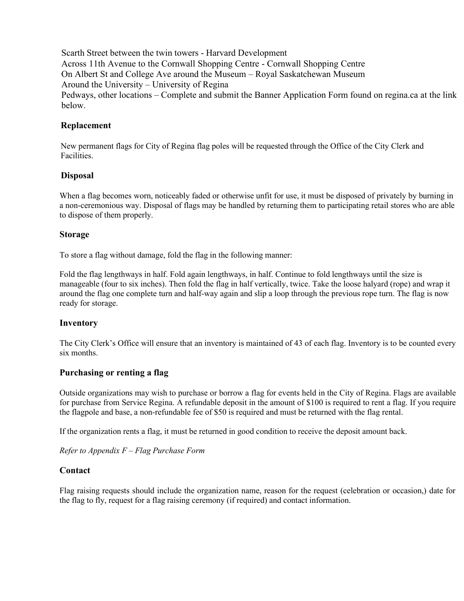Scarth Street between the twin towers - Harvard Development Across 11th Avenue to the Cornwall Shopping Centre - Cornwall Shopping Centre On Albert St and College Ave around the Museum – Royal Saskatchewan Museum Around the University – University of Regina Pedways, other locations – Complete and submit the Banner Application Form found on regina.ca at the link below.

#### **Replacement**

New permanent flags for City of Regina flag poles will be requested through the Office of the City Clerk and Facilities.

### **Disposal**

When a flag becomes worn, noticeably faded or otherwise unfit for use, it must be disposed of privately by burning in a non-ceremonious way. Disposal of flags may be handled by returning them to participating retail stores who are able to dispose of them properly.

### **Storage**

To store a flag without damage, fold the flag in the following manner:

Fold the flag lengthways in half. Fold again lengthways, in half. Continue to fold lengthways until the size is manageable (four to six inches). Then fold the flag in half vertically, twice. Take the loose halyard (rope) and wrap it around the flag one complete turn and half-way again and slip a loop through the previous rope turn. The flag is now ready for storage.

#### **Inventory**

The City Clerk's Office will ensure that an inventory is maintained of 43 of each flag. Inventory is to be counted every six months.

#### **Purchasing or renting a flag**

Outside organizations may wish to purchase or borrow a flag for events held in the City of Regina. Flags are available for purchase from Service Regina. A refundable deposit in the amount of \$100 is required to rent a flag. If you require the flagpole and base, a non-refundable fee of \$50 is required and must be returned with the flag rental.

If the organization rents a flag, it must be returned in good condition to receive the deposit amount back.

*Refer to Appendix F – Flag Purchase Form*

#### **Contact**

Flag raising requests should include the organization name, reason for the request (celebration or occasion,) date for the flag to fly, request for a flag raising ceremony (if required) and contact information.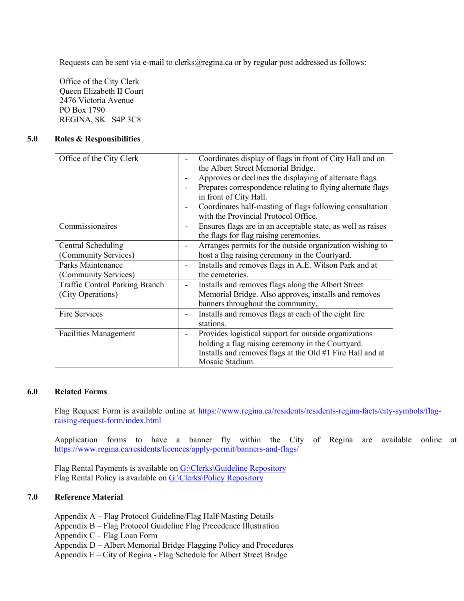Requests can be sent via e-mail to [clerks@regina.ca](mailto:clerks@regina.ca) or by regular post addressed as follows:

Office of the City Clerk Queen Elizabeth II Court 2476 Victoria Avenue PO Box 1790 REGINA, SK S4P 3C8

#### **5.0 Roles & Responsibilities**

| Office of the City Clerk              | Coordinates display of flags in front of City Hall and on<br>the Albert Street Memorial Bridge.<br>Approves or declines the displaying of alternate flags.<br>Prepares correspondence relating to flying alternate flags<br>in front of City Hall.<br>Coordinates half-masting of flags following consultation<br>with the Provincial Protocol Office. |
|---------------------------------------|--------------------------------------------------------------------------------------------------------------------------------------------------------------------------------------------------------------------------------------------------------------------------------------------------------------------------------------------------------|
| Commissionaires                       | Ensures flags are in an acceptable state, as well as raises                                                                                                                                                                                                                                                                                            |
|                                       | the flags for flag raising ceremonies.                                                                                                                                                                                                                                                                                                                 |
| Central Scheduling                    | Arranges permits for the outside organization wishing to                                                                                                                                                                                                                                                                                               |
| (Community Services)                  | host a flag raising ceremony in the Courtyard.                                                                                                                                                                                                                                                                                                         |
| Parks Maintenance                     | Installs and removes flags in A.E. Wilson Park and at                                                                                                                                                                                                                                                                                                  |
| (Community Services)                  | the cemeteries.                                                                                                                                                                                                                                                                                                                                        |
| <b>Traffic Control Parking Branch</b> | Installs and removes flags along the Albert Street                                                                                                                                                                                                                                                                                                     |
| (City Operations)                     | Memorial Bridge. Also approves, installs and removes<br>banners throughout the community.                                                                                                                                                                                                                                                              |
| Fire Services                         | Installs and removes flags at each of the eight fire                                                                                                                                                                                                                                                                                                   |
|                                       | stations.                                                                                                                                                                                                                                                                                                                                              |
| <b>Facilities Management</b>          | Provides logistical support for outside organizations                                                                                                                                                                                                                                                                                                  |
|                                       | holding a flag raising ceremony in the Courtyard.                                                                                                                                                                                                                                                                                                      |
|                                       | Installs and removes flags at the Old #1 Fire Hall and at<br>Mosaic Stadium.                                                                                                                                                                                                                                                                           |

#### **6.0 Related Forms**

Flag Request Form is available online at [https://www.regina.ca/residents/residents-regina-facts/city-symbols/flag](https://www.regina.ca/residents/residents-regina-facts/city-symbols/flag-raising-request-form/index.html)[raising-request-form/index.html](https://www.regina.ca/residents/residents-regina-facts/city-symbols/flag-raising-request-form/index.html)

Aapplication forms to have a banner fly within the City of Regina are available online at <https://www.regina.ca/residents/licences/apply-permit/banners-and-flags/>

Flag Rental Payments is available on G:\Clerks\Guideline Repository Flag Rental Policy is available on G:\Clerks\Policy Repository

#### **7.0 Reference Material**

- Appendix A Flag Protocol Guideline/Flag Half-Masting Details
- Appendix B Flag Protocol Guideline Flag Precedence Illustration
- Appendix C Flag Loan Form

Appendix D – Albert Memorial Bridge Flagging Policy and Procedures

Appendix E – City of Regina - Flag Schedule for Albert Street Bridge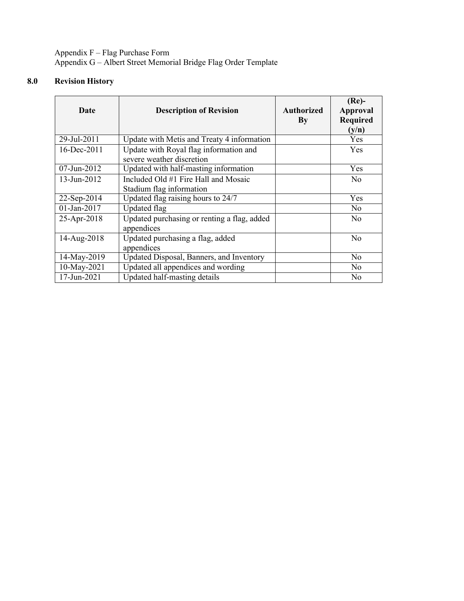Appendix F – Flag Purchase Form Appendix G – Albert Street Memorial Bridge Flag Order Template

# **8.0 Revision History**

| Date           | <b>Description of Revision</b>                                      | <b>Authorized</b><br>By | $(Re)$ -<br><b>Approval</b><br><b>Required</b><br>(y/n) |
|----------------|---------------------------------------------------------------------|-------------------------|---------------------------------------------------------|
| 29-Jul-2011    | Update with Metis and Treaty 4 information                          |                         | <b>Yes</b>                                              |
| 16-Dec-2011    | Update with Royal flag information and<br>severe weather discretion |                         | <b>Yes</b>                                              |
| $07$ -Jun-2012 | Updated with half-masting information                               |                         | <b>Yes</b>                                              |
| 13-Jun-2012    | Included Old #1 Fire Hall and Mosaic<br>Stadium flag information    |                         | N <sub>o</sub>                                          |
| 22-Sep-2014    | Updated flag raising hours to 24/7                                  |                         | Yes                                                     |
| $01$ -Jan-2017 | <b>Updated flag</b>                                                 |                         | N <sub>o</sub>                                          |
| 25-Apr-2018    | Updated purchasing or renting a flag, added<br>appendices           |                         | N <sub>0</sub>                                          |
| 14-Aug-2018    | Updated purchasing a flag, added<br>appendices                      |                         | N <sub>o</sub>                                          |
| 14-May-2019    | Updated Disposal, Banners, and Inventory                            |                         | N <sub>o</sub>                                          |
| 10-May-2021    | Updated all appendices and wording                                  |                         | N <sub>o</sub>                                          |
| 17-Jun-2021    | Updated half-masting details                                        |                         | No                                                      |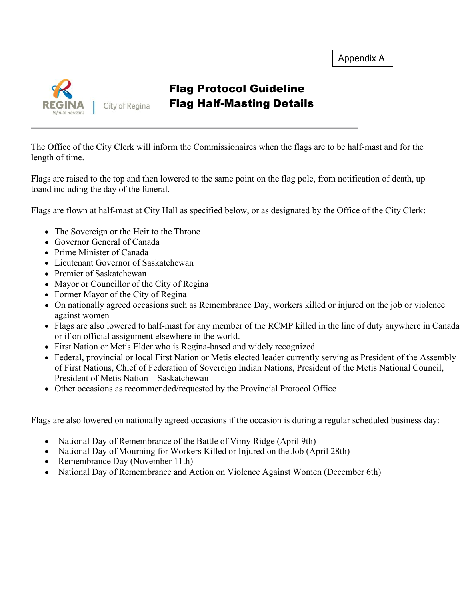

# Flag Protocol Guideline Flag Half-Masting Details

The Office of the City Clerk will inform the Commissionaires when the flags are to be half-mast and for the length of time.

Flags are raised to the top and then lowered to the same point on the flag pole, from notification of death, up toand including the day of the funeral.

Flags are flown at half-mast at City Hall as specified below, or as designated by the Office of the City Clerk:

- The Sovereign or the Heir to the Throne
- Governor General of Canada
- Prime Minister of Canada
- Lieutenant Governor of Saskatchewan
- Premier of Saskatchewan
- Mayor or Councillor of the City of Regina
- Former Mayor of the City of Regina
- On nationally agreed occasions such as Remembrance Day, workers killed or injured on the job or violence against women
- Flags are also lowered to half-mast for any member of the RCMP killed in the line of duty anywhere in Canada or if on official assignment elsewhere in the world.
- First Nation or Metis Elder who is Regina-based and widely recognized
- Federal, provincial or local First Nation or Metis elected leader currently serving as President of the Assembly of First Nations, Chief of Federation of Sovereign Indian Nations, President of the Metis National Council, President of Metis Nation – Saskatchewan
- Other occasions as recommended/requested by the Provincial Protocol Office

Flags are also lowered on nationally agreed occasions if the occasion is during a regular scheduled business day:

- National Day of Remembrance of the Battle of Vimy Ridge (April 9th)
- National Day of Mourning for Workers Killed or Injured on the Job (April 28th)
- Remembrance Day (November 11th)
- National Day of Remembrance and Action on Violence Against Women (December 6th)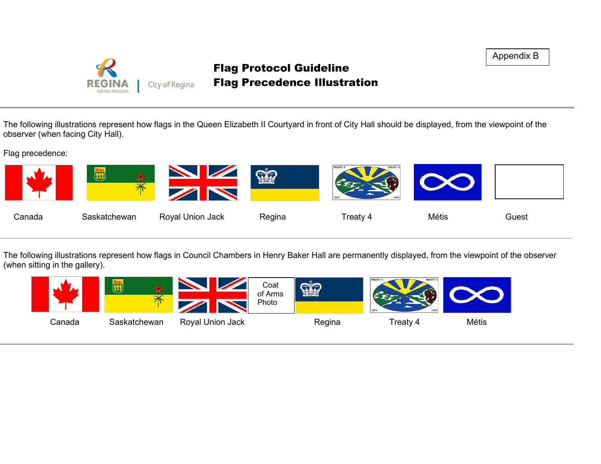

# Flag Protocol Guideline Flag Precedence Illustration

Appendix B

The following illustrations represent how flags in the Queen Elizabeth II Courtyard in front of City Hall should be displayed, from the viewpoint of the observer (when facing City Hall).

Flag precedence:



The following illustrations represent how flags in Council Chambers in Henry Baker Hall are permanently displayed, from the viewpoint of the observer (when sitting in the gallery).

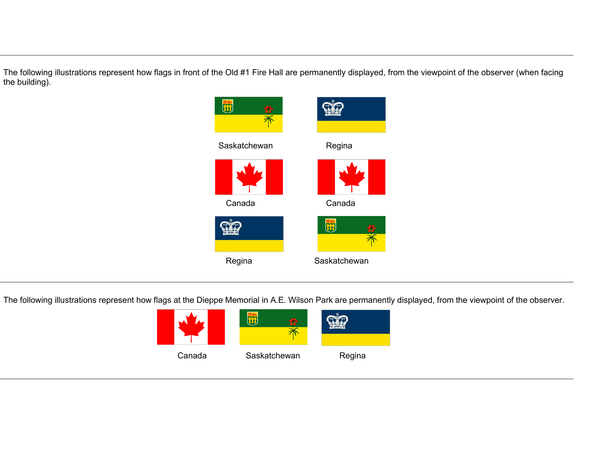The following illustrations represent how flags in front of the Old #1 Fire Hall are permanently displayed, from the viewpoint of the observer (when facing the building).



The following illustrations represent how flags at the Dieppe Memorial in A.E. Wilson Park are permanently displayed, from the viewpoint of the observer.

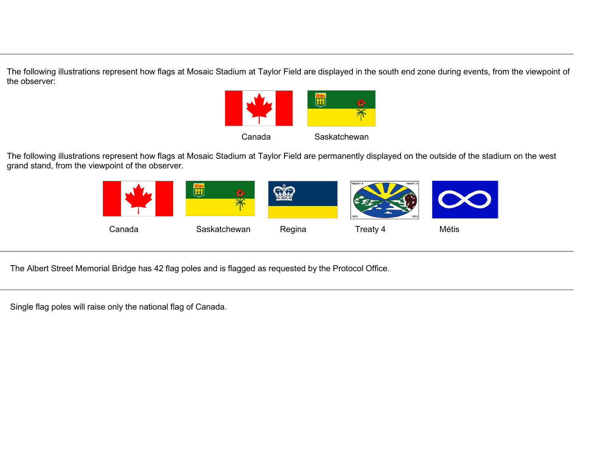The following illustrations represent how flags at Mosaic Stadium at Taylor Field are displayed in the south end zone during events, from the viewpoint of the observer:



The following illustrations represent how flags at Mosaic Stadium at Taylor Field are permanently displayed on the outside of the stadium on the west grand stand, from the viewpoint of the observer.



The Albert Street Memorial Bridge has 42 flag poles and is flagged as requested by the Protocol Office.

Single flag poles will raise only the national flag of Canada.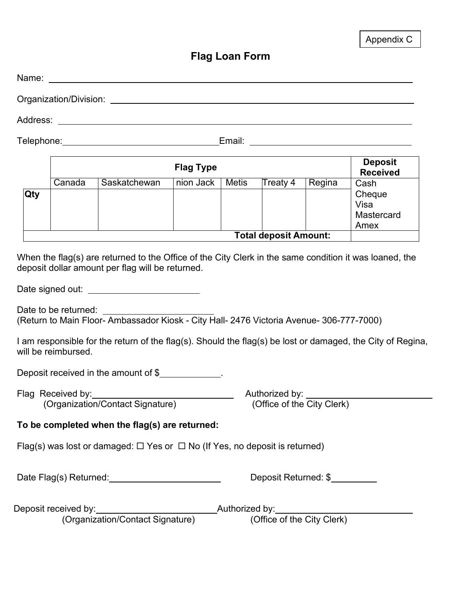|                                                                                                                                                                                                                                                                                                                                                                                                                                                                     |        | Name: We have a state of the contract of the contract of the contract of the contract of the contract of the contract of the contract of the contract of the contract of the contract of the contract of the contract of the c |                  |       |                              |                                    |                                              |
|---------------------------------------------------------------------------------------------------------------------------------------------------------------------------------------------------------------------------------------------------------------------------------------------------------------------------------------------------------------------------------------------------------------------------------------------------------------------|--------|--------------------------------------------------------------------------------------------------------------------------------------------------------------------------------------------------------------------------------|------------------|-------|------------------------------|------------------------------------|----------------------------------------------|
|                                                                                                                                                                                                                                                                                                                                                                                                                                                                     |        | Organization/Division: example and the contract of the contract of the contract of the contract of the contract of the contract of the contract of the contract of the contract of the contract of the contract of the contrac |                  |       |                              |                                    |                                              |
|                                                                                                                                                                                                                                                                                                                                                                                                                                                                     |        |                                                                                                                                                                                                                                |                  |       |                              |                                    |                                              |
|                                                                                                                                                                                                                                                                                                                                                                                                                                                                     |        |                                                                                                                                                                                                                                |                  |       |                              |                                    |                                              |
|                                                                                                                                                                                                                                                                                                                                                                                                                                                                     |        |                                                                                                                                                                                                                                | <b>Flag Type</b> |       |                              |                                    | <b>Deposit</b><br><b>Received</b>            |
| Qty                                                                                                                                                                                                                                                                                                                                                                                                                                                                 | Canada | Saskatchewan                                                                                                                                                                                                                   | nion Jack        | Metis | Treaty 4                     | Regina                             | Cash<br>Cheque<br>Visa<br>Mastercard<br>Amex |
|                                                                                                                                                                                                                                                                                                                                                                                                                                                                     |        |                                                                                                                                                                                                                                |                  |       | <b>Total deposit Amount:</b> |                                    |                                              |
| When the flag(s) are returned to the Office of the City Clerk in the same condition it was loaned, the<br>deposit dollar amount per flag will be returned.<br>Date to be returned: ________<br>(Return to Main Floor-Ambassador Kiosk - City Hall- 2476 Victoria Avenue- 306-777-7000)<br>I am responsible for the return of the flag(s). Should the flag(s) be lost or damaged, the City of Regina,<br>will be reimbursed.<br>Deposit received in the amount of \$ |        |                                                                                                                                                                                                                                |                  |       |                              |                                    |                                              |
|                                                                                                                                                                                                                                                                                                                                                                                                                                                                     |        |                                                                                                                                                                                                                                |                  |       |                              | Authorized by: ___________________ |                                              |
| Flag Received by:<br>(Organization/Contact Signature)<br>(Office of the City Clerk)<br>To be completed when the flag(s) are returned:<br>Flag(s) was lost or damaged: $\Box$ Yes or $\Box$ No (If Yes, no deposit is returned)                                                                                                                                                                                                                                      |        |                                                                                                                                                                                                                                |                  |       |                              |                                    |                                              |
| Deposit Returned: \$                                                                                                                                                                                                                                                                                                                                                                                                                                                |        |                                                                                                                                                                                                                                |                  |       |                              |                                    |                                              |
|                                                                                                                                                                                                                                                                                                                                                                                                                                                                     |        |                                                                                                                                                                                                                                |                  |       |                              |                                    |                                              |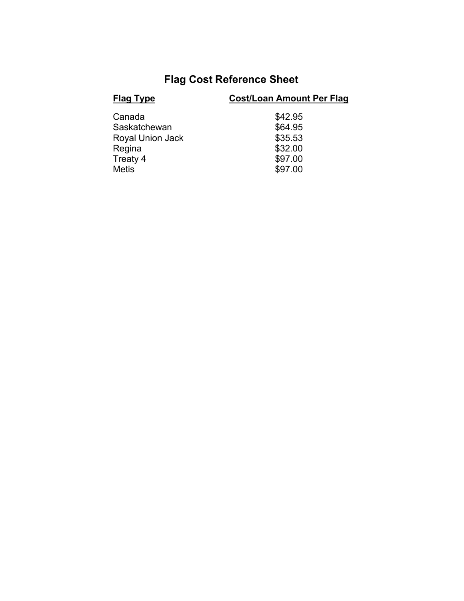# **Flag Cost Reference Sheet**

| <b>Flag Type</b>        | <b>Cost/Loan Amount Per Flag</b> |
|-------------------------|----------------------------------|
| Canada                  | \$42.95                          |
| Saskatchewan            | \$64.95                          |
| <b>Royal Union Jack</b> | \$35.53                          |
| Regina                  | \$32.00                          |
| Treaty 4                | \$97.00                          |
| <b>Metis</b>            | \$97.00                          |
|                         |                                  |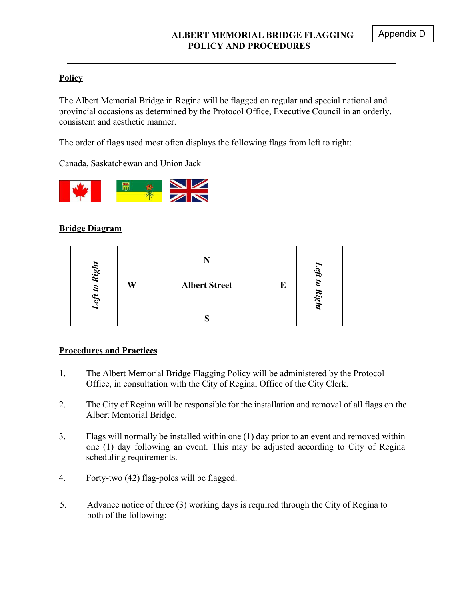# **Policy**

The Albert Memorial Bridge in Regina will be flagged on regular and special national and provincial occasions as determined by the Protocol Office, Executive Council in an orderly, consistent and aesthetic manner.

The order of flags used most often displays the following flags from left to right:

Canada, Saskatchewan and Union Jack



## **Bridge Diagram**

| Right                   |   |                      |   |                     |
|-------------------------|---|----------------------|---|---------------------|
| $\boldsymbol{v}$<br>eft | W | <b>Albert Street</b> | E | sti to<br>×<br>ight |
|                         |   |                      |   |                     |

## **Procedures and Practices**

- 1. The Albert Memorial Bridge Flagging Policy will be administered by the Protocol Office, in consultation with the City of Regina, Office of the City Clerk.
- 2. The City of Regina will be responsible for the installation and removal of all flags on the Albert Memorial Bridge.
- 3. Flags will normally be installed within one (1) day prior to an event and removed within one (1) day following an event. This may be adjusted according to City of Regina scheduling requirements.
- 4. Forty-two (42) flag-poles will be flagged.
- 5. Advance notice of three (3) working days is required through the City of Regina to both of the following: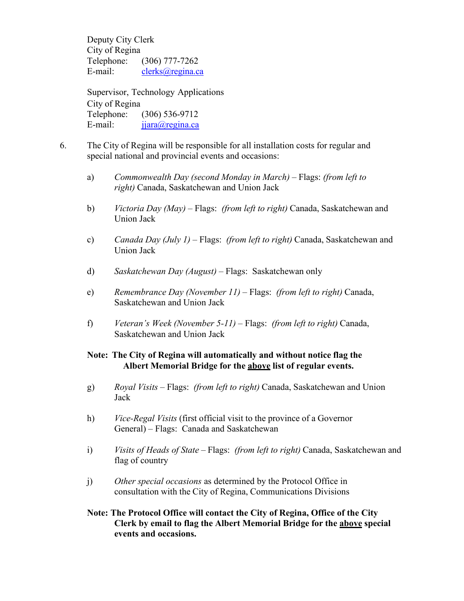Deputy City Clerk City of Regina Telephone: (306) 777-7262 E-mail: [clerks@regina.ca](mailto:clerks@regina.ca)

Supervisor, Technology Applications City of Regina Telephone: (306) 536-9712 E-mail:  $ijara@regina.ca$ 

- 6. The City of Regina will be responsible for all installation costs for regular and special national and provincial events and occasions:
	- a) *Commonwealth Day (second Monday in March)* Flags: *(from left to right)* Canada, Saskatchewan and Union Jack
	- b) *Victoria Day (May)* Flags: *(from left to right)* Canada, Saskatchewan and Union Jack
	- c) *Canada Day (July 1)* Flags: *(from left to right)* Canada, Saskatchewan and Union Jack
	- d) *Saskatchewan Day (August)* Flags: Saskatchewan only
	- e) *Remembrance Day (November 11)* Flags: *(from left to right)* Canada, Saskatchewan and Union Jack
	- f) *Veteran's Week (November 5-11)* Flags: *(from left to right)* Canada, Saskatchewan and Union Jack

### **Note: The City of Regina will automatically and without notice flag the Albert Memorial Bridge for the above list of regular events.**

- g) *Royal Visits* Flags: *(from left to right)* Canada, Saskatchewan and Union Jack
- h) *Vice-Regal Visits* (first official visit to the province of a Governor General) – Flags: Canada and Saskatchewan
- i) *Visits of Heads of State* Flags: *(from left to right)* Canada, Saskatchewan and flag of country
- j) *Other special occasions* as determined by the Protocol Office in consultation with the City of Regina, Communications Divisions
- **Note: The Protocol Office will contact the City of Regina, Office of the City Clerk by email to flag the Albert Memorial Bridge for the above special events and occasions.**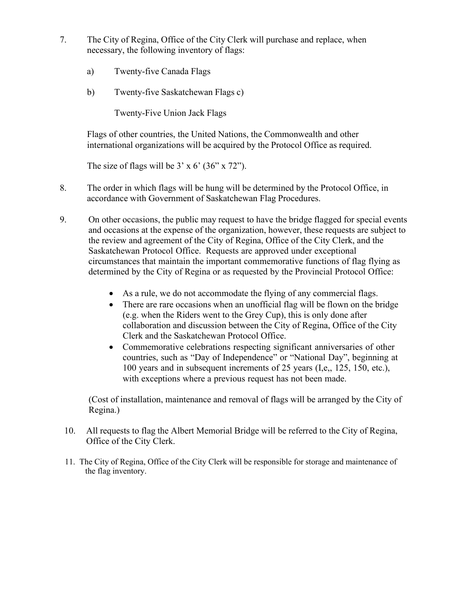- 7. The City of Regina, Office of the City Clerk will purchase and replace, when necessary, the following inventory of flags:
	- a) Twenty-five Canada Flags
	- b) Twenty-five Saskatchewan Flags c)

Twenty-Five Union Jack Flags

Flags of other countries, the United Nations, the Commonwealth and other international organizations will be acquired by the Protocol Office as required.

The size of flags will be  $3' \times 6'$  (36"  $\times$  72").

- 8. The order in which flags will be hung will be determined by the Protocol Office, in accordance with Government of Saskatchewan Flag Procedures.
- 9. On other occasions, the public may request to have the bridge flagged for special events and occasions at the expense of the organization, however, these requests are subject to the review and agreement of the City of Regina, Office of the City Clerk, and the Saskatchewan Protocol Office. Requests are approved under exceptional circumstances that maintain the important commemorative functions of flag flying as determined by the City of Regina or as requested by the Provincial Protocol Office:
	- As a rule, we do not accommodate the flying of any commercial flags.
	- There are rare occasions when an unofficial flag will be flown on the bridge (e.g. when the Riders went to the Grey Cup), this is only done after collaboration and discussion between the City of Regina, Office of the City Clerk and the Saskatchewan Protocol Office.
	- Commemorative celebrations respecting significant anniversaries of other countries, such as "Day of Independence" or "National Day", beginning at 100 years and in subsequent increments of 25 years (I,e,, 125, 150, etc.), with exceptions where a previous request has not been made.

(Cost of installation, maintenance and removal of flags will be arranged by the City of Regina.)

- 10. All requests to flag the Albert Memorial Bridge will be referred to the City of Regina, Office of the City Clerk.
- 11. The City of Regina, Office of the City Clerk will be responsible for storage and maintenance of the flag inventory.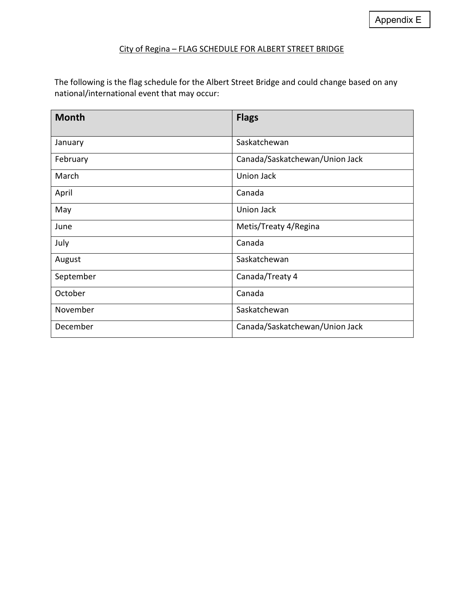#### City of Regina – FLAG SCHEDULE FOR ALBERT STREET BRIDGE

The following is the flag schedule for the Albert Street Bridge and could change based on any national/international event that may occur:

| <b>Month</b> | <b>Flags</b>                   |
|--------------|--------------------------------|
| January      | Saskatchewan                   |
| February     | Canada/Saskatchewan/Union Jack |
| March        | Union Jack                     |
| April        | Canada                         |
| May          | Union Jack                     |
| June         | Metis/Treaty 4/Regina          |
| July         | Canada                         |
| August       | Saskatchewan                   |
| September    | Canada/Treaty 4                |
| October      | Canada                         |
| November     | Saskatchewan                   |
| December     | Canada/Saskatchewan/Union Jack |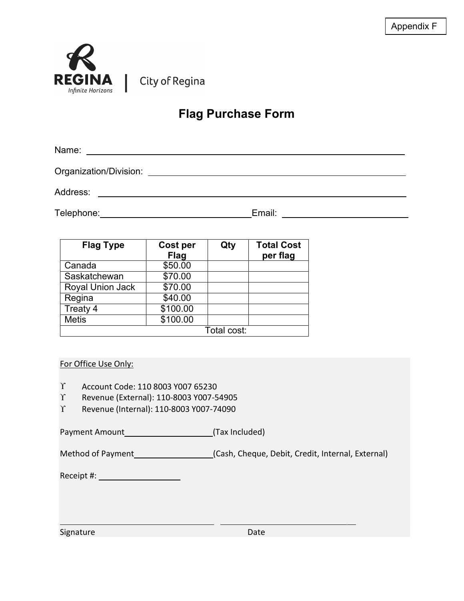

City of Regina

# **Flag Purchase Form**

Name:

Organization/Division:

Address:

Telephone: Email: Email: Email: Email: Email: Email: Email: Email: Email: Email: Email: Email: Email: Email: Email: Email: Email: Email: Email: Email: Email: Email: Email: Email: Email: Email: Email: Email: Email: Email: E

| <b>Flag Type</b> | Cost per<br><b>Flag</b> | Qty         | <b>Total Cost</b><br>per flag |
|------------------|-------------------------|-------------|-------------------------------|
| Canada           | \$50.00                 |             |                               |
| Saskatchewan     | \$70.00                 |             |                               |
| Royal Union Jack | \$70.00                 |             |                               |
| Regina           | \$40.00                 |             |                               |
| Treaty 4         | \$100.00                |             |                               |
| <b>Metis</b>     | \$100.00                |             |                               |
|                  |                         | Total cost: |                               |

## For Office Use Only:

- ϒ Account Code: 110 8003 Y007 65230
- ϒ Revenue (External): 110-8003 Y007-54905
- ϒ Revenue (Internal): 110-8003 Y007-74090

Payment Amount (Tax Included)

Method of Payment (Cash, Cheque, Debit, Credit, Internal, External)

Receipt #:

| Signature | Date |
|-----------|------|
|           |      |